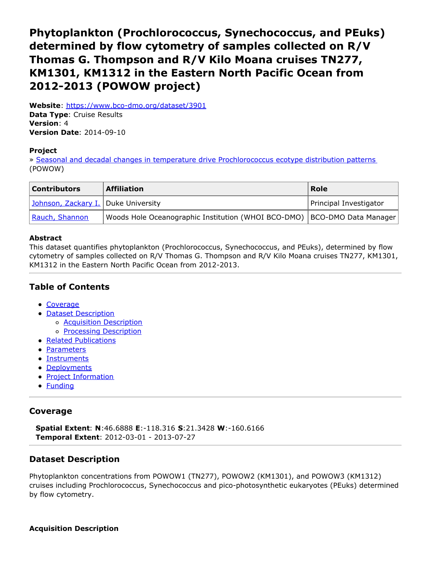# <span id="page-0-0"></span>**Phytoplankton (Prochlorococcus, Synechococcus, and PEuks) determined by flow cytometry of samples collected on R/V Thomas G. Thompson and R/V Kilo Moana cruises TN277, KM1301, KM1312 in the Eastern North Pacific Ocean from 2012-2013 (POWOW project)**

**Website**: <https://www.bco-dmo.org/dataset/3901> **Data Type**: Cruise Results **Version**: 4 **Version Date**: 2014-09-10

#### **Project**

» Seasonal and decadal changes in temperature drive [Prochlorococcus](https://www.bco-dmo.org/project/2237) ecotype distribution patterns (POWOW)

| <b>Contributors</b>                 | <b>Affiliation</b>                                                         | Role                   |
|-------------------------------------|----------------------------------------------------------------------------|------------------------|
| Johnson, Zackary I. Duke University |                                                                            | Principal Investigator |
| Rauch, Shannon                      | Woods Hole Oceanographic Institution (WHOI BCO-DMO)   BCO-DMO Data Manager |                        |

### **Abstract**

This dataset quantifies phytoplankton (Prochlorococcus, Synechococcus, and PEuks), determined by flow cytometry of samples collected on R/V Thomas G. Thompson and R/V Kilo Moana cruises TN277, KM1301, KM1312 in the Eastern North Pacific Ocean from 2012-2013.

# **Table of Contents**

- [Coverage](#page-0-0)
- Dataset [Description](#page-0-0)
	- o **Acquisition [Description](#page-0-0)**
	- o **Processing [Description](#page-0-0)**
- Related [Publications](#page-0-0)
- [Parameters](#page-0-0)
- [Instruments](#page-0-0)
- [Deployments](#page-0-0)
- Project [Information](#page-0-0)
- **[Funding](#page-0-0)**

## **Coverage**

**Spatial Extent**: **N**:46.6888 **E**:-118.316 **S**:21.3428 **W**:-160.6166 **Temporal Extent**: 2012-03-01 - 2013-07-27

## **Dataset Description**

Phytoplankton concentrations from POWOW1 (TN277), POWOW2 (KM1301), and POWOW3 (KM1312) cruises including Prochlorococcus, Synechococcus and pico-photosynthetic eukaryotes (PEuks) determined by flow cytometry.

**Acquisition Description**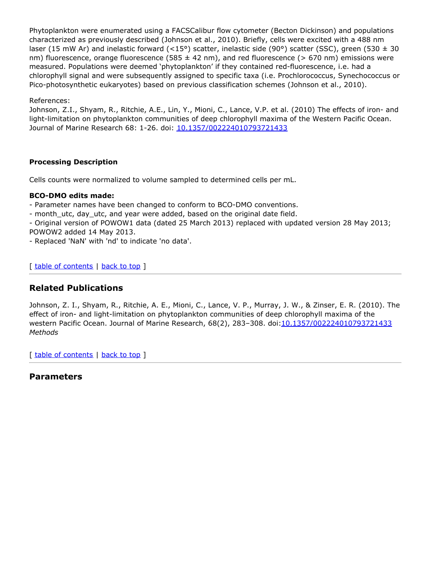Phytoplankton were enumerated using a FACSCalibur flow cytometer (Becton Dickinson) and populations characterized as previously described (Johnson et al., 2010). Briefly, cells were excited with a 488 nm laser (15 mW Ar) and inelastic forward (<15°) scatter, inelastic side (90°) scatter (SSC), green (530 ± 30 nm) fluorescence, orange fluorescence (585  $\pm$  42 nm), and red fluorescence (> 670 nm) emissions were measured. Populations were deemed 'phytoplankton' if they contained red-fluorescence, i.e. had a chlorophyll signal and were subsequently assigned to specific taxa (i.e. Prochlorococcus, Synechococcus or Pico-photosynthetic eukaryotes) based on previous classification schemes (Johnson et al., 2010).

### References:

Johnson, Z.I., Shyam, R., Ritchie, A.E., Lin, Y., Mioni, C., Lance, V.P. et al. (2010) The effects of iron- and light-limitation on phytoplankton communities of deep chlorophyll maxima of the Western Pacific Ocean. Journal of Marine Research 68: 1-26. doi: [10.1357/002224010793721433](http://dx.doi.org/10.1357/002224010793721433)

### **Processing Description**

Cells counts were normalized to volume sampled to determined cells per mL.

### **BCO-DMO edits made:**

- Parameter names have been changed to conform to BCO-DMO conventions.

- month utc, day utc, and year were added, based on the original date field.

- Original version of POWOW1 data (dated 25 March 2013) replaced with updated version 28 May 2013; POWOW2 added 14 May 2013.

- Replaced 'NaN' with 'nd' to indicate 'no data'.

[ table of [contents](#page-0-0) | [back](#page-0-0) to top ]

# **Related Publications**

Johnson, Z. I., Shyam, R., Ritchie, A. E., Mioni, C., Lance, V. P., Murray, J. W., & Zinser, E. R. (2010). The effect of iron- and light-limitation on phytoplankton communities of deep chlorophyll maxima of the western Pacific Ocean. Journal of Marine Research, 68(2), 283-308. doi[:10.1357/002224010793721433](https://doi.org/10.1357/002224010793721433) *Methods*

[ table of [contents](#page-0-0) | [back](#page-0-0) to top ]

## **Parameters**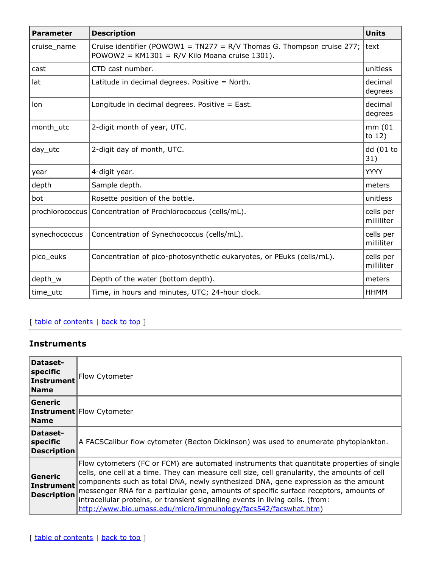| <b>Parameter</b> | <b>Description</b>                                                                                                       | <b>Units</b>            |
|------------------|--------------------------------------------------------------------------------------------------------------------------|-------------------------|
| cruise_name      | Cruise identifier (POWOW1 = TN277 = R/V Thomas G. Thompson cruise 277;<br>POWOW2 = KM1301 = R/V Kilo Moana cruise 1301). | l text                  |
| cast             | CTD cast number.                                                                                                         | unitless                |
| lat              | Latitude in decimal degrees. Positive = North.                                                                           | decimal<br>degrees      |
| lon              | Longitude in decimal degrees. Positive = East.                                                                           | decimal<br>degrees      |
| month_utc        | 2-digit month of year, UTC.                                                                                              | mm (01<br>to $12)$      |
| $day$ _utc       | 2-digit day of month, UTC.                                                                                               | dd (01 to<br>31)        |
| year             | 4-digit year.                                                                                                            | <b>YYYY</b>             |
| depth            | Sample depth.                                                                                                            | meters                  |
| bot              | Rosette position of the bottle.                                                                                          | unitless                |
|                  | prochlorococcus Concentration of Prochlorococcus (cells/mL).                                                             | cells per<br>milliliter |
| synechococcus    | Concentration of Synechococcus (cells/mL).                                                                               | cells per<br>milliliter |
| pico_euks        | Concentration of pico-photosynthetic eukaryotes, or PEuks (cells/mL).                                                    | cells per<br>milliliter |
| depth_w          | Depth of the water (bottom depth).                                                                                       | meters                  |
| time_utc         | Time, in hours and minutes, UTC; 24-hour clock.                                                                          | HHMM                    |

# [ table of [contents](#page-0-0) | [back](#page-0-0) to top ]

# **Instruments**

| Dataset-<br>specific<br>Instrument<br><b>Name</b>  | Flow Cytometer                                                                                                                                                                                                                                                                                                                                                                                                                                                                                                                  |
|----------------------------------------------------|---------------------------------------------------------------------------------------------------------------------------------------------------------------------------------------------------------------------------------------------------------------------------------------------------------------------------------------------------------------------------------------------------------------------------------------------------------------------------------------------------------------------------------|
| Generic<br><b>Name</b>                             | <b>Instrument</b> Flow Cytometer                                                                                                                                                                                                                                                                                                                                                                                                                                                                                                |
| Dataset-<br> specific<br><b>Description</b>        | A FACSCalibur flow cytometer (Becton Dickinson) was used to enumerate phytoplankton.                                                                                                                                                                                                                                                                                                                                                                                                                                            |
| Generic<br><b>Instrument</b><br><b>Description</b> | Flow cytometers (FC or FCM) are automated instruments that quantitate properties of single<br>cells, one cell at a time. They can measure cell size, cell granularity, the amounts of cell<br>components such as total DNA, newly synthesized DNA, gene expression as the amount<br>messenger RNA for a particular gene, amounts of specific surface receptors, amounts of<br>intracellular proteins, or transient signalling events in living cells. (from:<br>http://www.bio.umass.edu/micro/immunology/facs542/facswhat.htm) |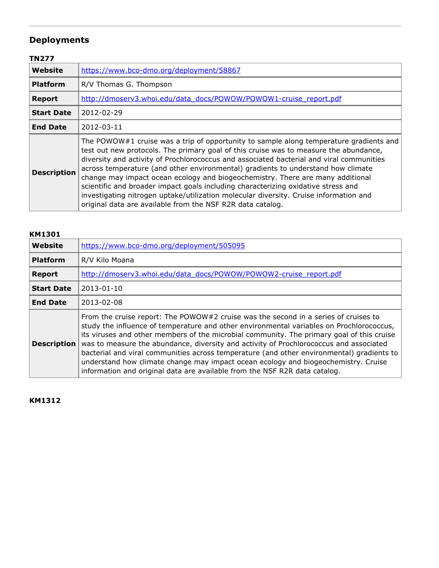# **Deployments**

# **TN277**

| Website            | https://www.bco-dmo.org/deployment/58867                                                                                                                                                                                                                                                                                                                                                                                                                                                                                                                                                                                                                                                      |  |
|--------------------|-----------------------------------------------------------------------------------------------------------------------------------------------------------------------------------------------------------------------------------------------------------------------------------------------------------------------------------------------------------------------------------------------------------------------------------------------------------------------------------------------------------------------------------------------------------------------------------------------------------------------------------------------------------------------------------------------|--|
| <b>Platform</b>    | R/V Thomas G. Thompson                                                                                                                                                                                                                                                                                                                                                                                                                                                                                                                                                                                                                                                                        |  |
| <b>Report</b>      | http://dmoserv3.whoi.edu/data_docs/POWOW/POWOW1-cruise_report.pdf                                                                                                                                                                                                                                                                                                                                                                                                                                                                                                                                                                                                                             |  |
| <b>Start Date</b>  | 2012-02-29                                                                                                                                                                                                                                                                                                                                                                                                                                                                                                                                                                                                                                                                                    |  |
| <b>End Date</b>    | 2012-03-11                                                                                                                                                                                                                                                                                                                                                                                                                                                                                                                                                                                                                                                                                    |  |
| <b>Description</b> | The POWOW#1 cruise was a trip of opportunity to sample along temperature gradients and<br>test out new protocols. The primary goal of this cruise was to measure the abundance,<br>diversity and activity of Prochlorococcus and associated bacterial and viral communities<br>across temperature (and other environmental) gradients to understand how climate<br>change may impact ocean ecology and biogeochemistry. There are many additional<br>scientific and broader impact goals including characterizing oxidative stress and<br>investigating nitrogen uptake/utilization molecular diversity. Cruise information and<br>original data are available from the NSF R2R data catalog. |  |

## **KM1301**

| <b>Website</b>     | https://www.bco-dmo.org/deployment/505095                                                                                                                                                                                                                                                                                                                                                                                                                                                                                                                                                                                               |  |
|--------------------|-----------------------------------------------------------------------------------------------------------------------------------------------------------------------------------------------------------------------------------------------------------------------------------------------------------------------------------------------------------------------------------------------------------------------------------------------------------------------------------------------------------------------------------------------------------------------------------------------------------------------------------------|--|
| <b>Platform</b>    | R/V Kilo Moana                                                                                                                                                                                                                                                                                                                                                                                                                                                                                                                                                                                                                          |  |
| <b>Report</b>      | http://dmoserv3.whoi.edu/data_docs/POWOW/POWOW2-cruise_report.pdf                                                                                                                                                                                                                                                                                                                                                                                                                                                                                                                                                                       |  |
| <b>Start Date</b>  | 2013-01-10                                                                                                                                                                                                                                                                                                                                                                                                                                                                                                                                                                                                                              |  |
| <b>End Date</b>    | 2013-02-08                                                                                                                                                                                                                                                                                                                                                                                                                                                                                                                                                                                                                              |  |
| <b>Description</b> | From the cruise report: The POWOW#2 cruise was the second in a series of cruises to<br>study the influence of temperature and other environmental variables on Prochlorococcus,<br>its viruses and other members of the microbial community. The primary goal of this cruise<br>was to measure the abundance, diversity and activity of Prochlorococcus and associated<br>bacterial and viral communities across temperature (and other environmental) gradients to<br>understand how climate change may impact ocean ecology and biogeochemistry. Cruise<br>information and original data are available from the NSF R2R data catalog. |  |

**KM1312**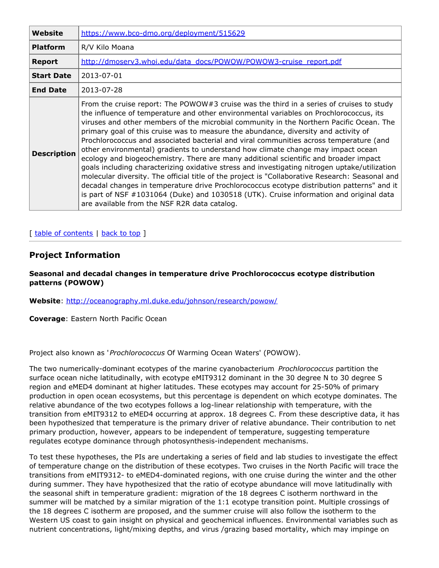| Website            | https://www.bco-dmo.org/deployment/515629                                                                                                                                                                                                                                                                                                                                                                                                                                                                                                                                                                                                                                                                                                                                                                                                                                                                                                                                                                                                                                              |  |
|--------------------|----------------------------------------------------------------------------------------------------------------------------------------------------------------------------------------------------------------------------------------------------------------------------------------------------------------------------------------------------------------------------------------------------------------------------------------------------------------------------------------------------------------------------------------------------------------------------------------------------------------------------------------------------------------------------------------------------------------------------------------------------------------------------------------------------------------------------------------------------------------------------------------------------------------------------------------------------------------------------------------------------------------------------------------------------------------------------------------|--|
| <b>Platform</b>    | R/V Kilo Moana                                                                                                                                                                                                                                                                                                                                                                                                                                                                                                                                                                                                                                                                                                                                                                                                                                                                                                                                                                                                                                                                         |  |
| <b>Report</b>      | http://dmoserv3.whoi.edu/data_docs/POWOW/POWOW3-cruise_report.pdf                                                                                                                                                                                                                                                                                                                                                                                                                                                                                                                                                                                                                                                                                                                                                                                                                                                                                                                                                                                                                      |  |
| <b>Start Date</b>  | 2013-07-01                                                                                                                                                                                                                                                                                                                                                                                                                                                                                                                                                                                                                                                                                                                                                                                                                                                                                                                                                                                                                                                                             |  |
| <b>End Date</b>    | 2013-07-28                                                                                                                                                                                                                                                                                                                                                                                                                                                                                                                                                                                                                                                                                                                                                                                                                                                                                                                                                                                                                                                                             |  |
| <b>Description</b> | From the cruise report: The POWOW#3 cruise was the third in a series of cruises to study<br>the influence of temperature and other environmental variables on Prochlorococcus, its<br>viruses and other members of the microbial community in the Northern Pacific Ocean. The<br>primary goal of this cruise was to measure the abundance, diversity and activity of<br>Prochlorococcus and associated bacterial and viral communities across temperature (and<br>other environmental) gradients to understand how climate change may impact ocean<br>ecology and biogeochemistry. There are many additional scientific and broader impact<br>goals including characterizing oxidative stress and investigating nitrogen uptake/utilization<br>molecular diversity. The official title of the project is "Collaborative Research: Seasonal and<br>decadal changes in temperature drive Prochlorococcus ecotype distribution patterns" and it<br>is part of NSF #1031064 (Duke) and 1030518 (UTK). Cruise information and original data<br>are available from the NSF R2R data catalog. |  |

## [ table of [contents](#page-0-0) | [back](#page-0-0) to top ]

## **Project Information**

#### **Seasonal and decadal changes in temperature drive Prochlorococcus ecotype distribution patterns (POWOW)**

**Website**: <http://oceanography.ml.duke.edu/johnson/research/powow/>

**Coverage**: Eastern North Pacific Ocean

Project also known as '*Prochlorococcus* Of Warming Ocean Waters' (POWOW).

The two numerically-dominant ecotypes of the marine cyanobacterium *Prochlorococcus* partition the surface ocean niche latitudinally, with ecotype eMIT9312 dominant in the 30 degree N to 30 degree S region and eMED4 dominant at higher latitudes. These ecotypes may account for 25-50% of primary production in open ocean ecosystems, but this percentage is dependent on which ecotype dominates. The relative abundance of the two ecotypes follows a log-linear relationship with temperature, with the transition from eMIT9312 to eMED4 occurring at approx. 18 degrees C. From these descriptive data, it has been hypothesized that temperature is the primary driver of relative abundance. Their contribution to net primary production, however, appears to be independent of temperature, suggesting temperature regulates ecotype dominance through photosynthesis-independent mechanisms.

To test these hypotheses, the PIs are undertaking a series of field and lab studies to investigate the effect of temperature change on the distribution of these ecotypes. Two cruises in the North Pacific will trace the transitions from eMIT9312- to eMED4-dominated regions, with one cruise during the winter and the other during summer. They have hypothesized that the ratio of ecotype abundance will move latitudinally with the seasonal shift in temperature gradient: migration of the 18 degrees C isotherm northward in the summer will be matched by a similar migration of the 1:1 ecotype transition point. Multiple crossings of the 18 degrees C isotherm are proposed, and the summer cruise will also follow the isotherm to the Western US coast to gain insight on physical and geochemical influences. Environmental variables such as nutrient concentrations, light/mixing depths, and virus /grazing based mortality, which may impinge on